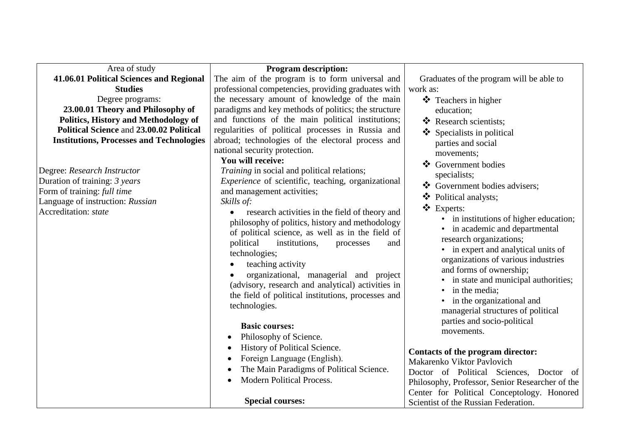| Area of study                                   | <b>Program description:</b>                                                                                                                                                                                                                                                                                                                                                                                                                                                         |                                                                                                                                                                                                                                                                                                                                                                                                  |
|-------------------------------------------------|-------------------------------------------------------------------------------------------------------------------------------------------------------------------------------------------------------------------------------------------------------------------------------------------------------------------------------------------------------------------------------------------------------------------------------------------------------------------------------------|--------------------------------------------------------------------------------------------------------------------------------------------------------------------------------------------------------------------------------------------------------------------------------------------------------------------------------------------------------------------------------------------------|
| 41.06.01 Political Sciences and Regional        | The aim of the program is to form universal and                                                                                                                                                                                                                                                                                                                                                                                                                                     | Graduates of the program will be able to                                                                                                                                                                                                                                                                                                                                                         |
| <b>Studies</b>                                  | professional competencies, providing graduates with                                                                                                                                                                                                                                                                                                                                                                                                                                 | work as:                                                                                                                                                                                                                                                                                                                                                                                         |
| Degree programs:                                | the necessary amount of knowledge of the main                                                                                                                                                                                                                                                                                                                                                                                                                                       | ❖ Teachers in higher                                                                                                                                                                                                                                                                                                                                                                             |
| 23.00.01 Theory and Philosophy of               | paradigms and key methods of politics; the structure                                                                                                                                                                                                                                                                                                                                                                                                                                | education;                                                                                                                                                                                                                                                                                                                                                                                       |
| Politics, History and Methodology of            | and functions of the main political institutions;                                                                                                                                                                                                                                                                                                                                                                                                                                   | ❖ Research scientists;                                                                                                                                                                                                                                                                                                                                                                           |
| Political Science and 23.00.02 Political        | regularities of political processes in Russia and                                                                                                                                                                                                                                                                                                                                                                                                                                   | $\bullet$ Specialists in political                                                                                                                                                                                                                                                                                                                                                               |
| <b>Institutions, Processes and Technologies</b> | abroad; technologies of the electoral process and<br>national security protection.                                                                                                                                                                                                                                                                                                                                                                                                  | parties and social                                                                                                                                                                                                                                                                                                                                                                               |
|                                                 | You will receive:                                                                                                                                                                                                                                                                                                                                                                                                                                                                   | movements;                                                                                                                                                                                                                                                                                                                                                                                       |
| Degree: Research Instructor                     | <i>Training</i> in social and political relations;                                                                                                                                                                                                                                                                                                                                                                                                                                  | ❖ Government bodies                                                                                                                                                                                                                                                                                                                                                                              |
| Duration of training: 3 years                   | <i>Experience</i> of scientific, teaching, organizational                                                                                                                                                                                                                                                                                                                                                                                                                           | specialists;                                                                                                                                                                                                                                                                                                                                                                                     |
| Form of training: full time                     | and management activities;                                                                                                                                                                                                                                                                                                                                                                                                                                                          | ❖ Government bodies advisers;                                                                                                                                                                                                                                                                                                                                                                    |
| Language of instruction: Russian                | Skills of:                                                                                                                                                                                                                                                                                                                                                                                                                                                                          | ❖ Political analysts;                                                                                                                                                                                                                                                                                                                                                                            |
| Accreditation: state                            | research activities in the field of theory and<br>philosophy of politics, history and methodology<br>of political science, as well as in the field of<br>political<br>institutions,<br>processes<br>and<br>technologies;<br>teaching activity<br>organizational, managerial and project<br>(advisory, research and analytical) activities in<br>the field of political institutions, processes and<br>technologies.<br><b>Basic courses:</b><br>Philosophy of Science.<br>$\bullet$ | ❖ Experts:<br>• in institutions of higher education;<br>• in academic and departmental<br>research organizations;<br>in expert and analytical units of<br>organizations of various industries<br>and forms of ownership;<br>in state and municipal authorities;<br>in the media;<br>in the organizational and<br>managerial structures of political<br>parties and socio-political<br>movements. |
|                                                 | History of Political Science.<br>Foreign Language (English).<br>The Main Paradigms of Political Science.<br><b>Modern Political Process.</b>                                                                                                                                                                                                                                                                                                                                        | Contacts of the program director:<br>Makarenko Viktor Pavlovich<br>Doctor of Political Sciences, Doctor of<br>Philosophy, Professor, Senior Researcher of the<br>Center for Political Conceptology. Honored                                                                                                                                                                                      |
|                                                 | <b>Special courses:</b>                                                                                                                                                                                                                                                                                                                                                                                                                                                             | Scientist of the Russian Federation.                                                                                                                                                                                                                                                                                                                                                             |